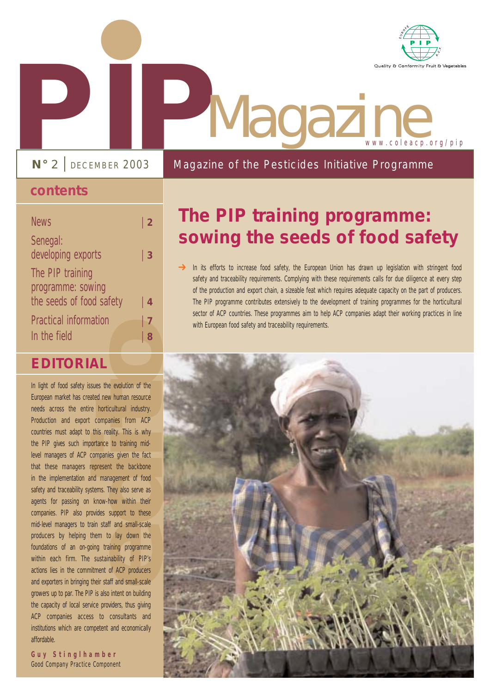

# **PIP**<br> **PIP**<br> **PIPP**<br>
PIPPECEMBER 2003<br>
Magazine Magazine www.coleacp.org/pip

Magazine of the Pesticides Initiative Programme

**N°** 2 | DECEMBER 2003

### **contents**

| <b>News</b>                           | $\mid$ 2       |
|---------------------------------------|----------------|
| Senegal:<br>developing exports        | 3              |
| The PIP training<br>programme: sowing |                |
| the seeds of food safety              | 4              |
| <b>Practical information</b>          | $\overline{7}$ |
| In the field                          | 8              |

## **EDITORIAL**

**EXECUTE:**<br> **example 18 Example 19 Example 19 Example 19 Example 19 Example 19 Example 19 Example 19 Example 19 Example 19 Example 19 Example 19 Example 19 Example 19 Example 19 Example 19 Example 19 Example 19 Example 19** In light of food safety issues the evolution of the European market has created new human resource needs across the entire horticultural industry. Production and export companies from ACP countries must adapt to this reality. This is why the PIP gives such importance to training midlevel managers of ACP companies given the fact that these managers represent the backbone in the implementation and management of food safety and traceability systems. They also serve as agents for passing on know-how within their companies. PIP also provides support to these mid-level managers to train staff and small-scale producers by helping them to lay down the foundations of an on-going training programme within each firm. The sustainability of PIP's actions lies in the commitment of ACP producers and exporters in bringing their staff and small-scale growers up to par. The PIP is also intent on building the capacity of local service providers, thus giving ACP companies access to consultants and institutions which are competent and economically affordable.

**Guy Stinglhamber** Good Company Practice Component

## **The PIP training programme: sowing the seeds of food safety**

In its efforts to increase food safety, the European Union has drawn up legislation with stringent food safety and traceability requirements. Complying with these requirements calls for due diligence at every step of the production and export chain, a sizeable feat which requires adequate capacity on the part of producers. The PIP programme contributes extensively to the development of training programmes for the horticultural sector of ACP countries. These programmes aim to help ACP companies adapt their working practices in line with European food safety and traceability requirements.  $\rightarrow$ 

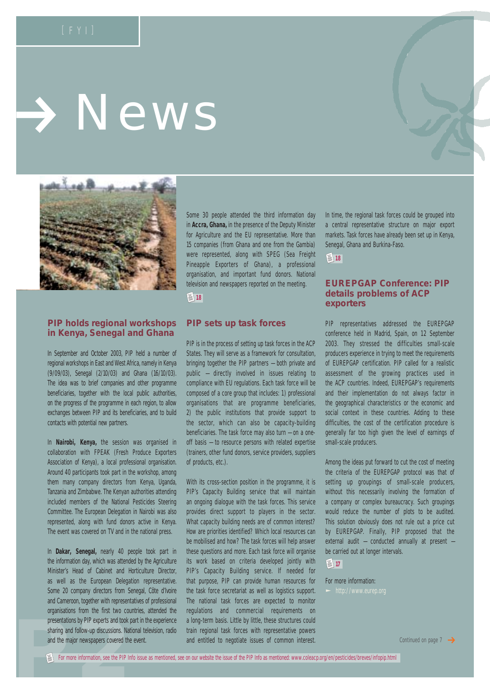# > News



#### **PIP holds regional workshops in Kenya, Senegal and Ghana**

In September and October 2003, PIP held a number of regional workshops in East and West Africa, namely in Kenya (9/09/03), Senegal (2/10/03) and Ghana (16/10/03). The idea was to brief companies and other programme beneficiaries, together with the local public authorities, on the progress of the programme in each region, to allow exchanges between PIP and its beneficiaries, and to build contacts with potential new partners.

In **Nairobi, Kenya,** the session was organised in collaboration with FPEAK (Fresh Produce Exporters Association of Kenya), a local professional organisation. Around 40 participants took part in the workshop, among them many company directors from Kenya, Uganda, Tanzania and Zimbabwe. The Kenyan authorities attending included members of the National Pesticides Steering Committee. The European Delegation in Nairobi was also represented, along with fund donors active in Kenya. The event was covered on TV and in the national press.

presentations by PIP experts and took part in<br>sharing and follow-up discussions. National in<br>and the major newspapers covered the even<br>For more information, see the PIP Info issue In **Dakar, Senegal,** nearly 40 people took part in the information day, which was attended by the Agriculture Minister's Head of Cabinet and Horticulture Director, as well as the European Delegation representative. Some 20 company directors from Senegal, Côte d'Ivoire and Cameroon, together with representatives of professional organisations from the first two countries, attended the presentations by PIP experts and took part in the experience sharing and follow-up discussions. National television, radio and the major newspapers covered the event.

Some 30 people attended the third information day in **Accra, Ghana,** in the presence of the Deputy Minister for Agriculture and the EU representative. More than 15 companies (from Ghana and one from the Gambia) were represented, along with SPEG (Sea Freight Pineapple Exporters of Ghana), a professional organisation, and important fund donors. National television and newspapers reported on the meeting.

**【图18** 

#### **PIP sets up task forces**

PIP is in the process of setting up task forces in the ACP States. They will serve as a framework for consultation, bringing together the PIP partners — both private and public — directly involved in issues relating to compliance with EU regulations. Each task force will be composed of a core group that includes: 1) professional organisations that are programme beneficiaries, 2) the public institutions that provide support to the sector, which can also be capacity-building beneficiaries. The task force may also turn — on a oneoff basis — to resource persons with related expertise (trainers, other fund donors, service providers, suppliers of products, etc.).

With its cross-section position in the programme, it is PIP's Capacity Building service that will maintain an ongoing dialogue with the task forces. This service provides direct support to players in the sector. What capacity building needs are of common interest? How are priorities identified? Which local resources can be mobilised and how? The task forces will help answer these questions and more. Each task force will organise its work based on criteria developed jointly with PIP's Capacity Building service. If needed for that purpose, PIP can provide human resources for the task force secretariat as well as logistics support. The national task forces are expected to monitor regulations and commercial requirements on a long-term basis. Little by little, these structures could train regional task forces with representative powers and entitled to negotiate issues of common interest.

In time, the regional task forces could be grouped into a central representative structure on major export markets. Task forces have already been set up in Kenya, Senegal, Ghana and Burkina-Faso.

**18**

#### **EUREPGAP Conference: PIP details problems of ACP exporters**

PIP representatives addressed the EUREPGAP conference held in Madrid, Spain, on 12 September 2003. They stressed the difficulties small-scale producers experience in trying to meet the requirements of EUREPGAP certification. PIP called for a realistic assessment of the growing practices used in the ACP countries. Indeed, EUREPGAP's requirements and their implementation do not always factor in the geographical characteristics or the economic and social context in these countries. Adding to these difficulties, the cost of the certification procedure is generally far too high given the level of earnings of small-scale producers.

Among the ideas put forward to cut the cost of meeting the criteria of the EUREPGAP protocol was that of setting up groupings of small-scale producers, without this necessarily involving the formation of a company or complex bureaucracy. Such groupings would reduce the number of plots to be audited. This solution obviously does not rule out a price cut by EUREPGAP. Finally, PIP proposed that the external audit — conducted annually at present be carried out at longer intervals.



For more information: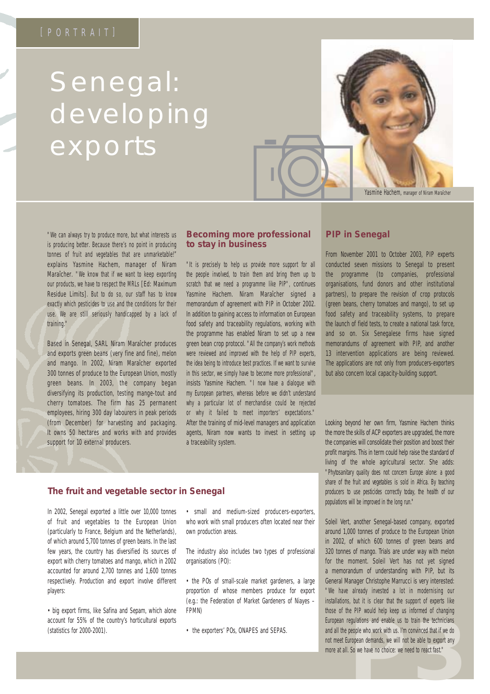# Senegal: developing **exports**



*"We can always try to produce more, but what interests us is producing better. Because there's no point in producing tonnes of fruit and vegetables that are unmarketable!"* explains Yasmine Hachem, manager of Niram Maraîcher. *"We know that if we want to keep exporting our products, we have to respect the MRLs* [Ed: Maximum Residue Limits]*. But to do so, our staff has to know exactly which pesticides to use and the conditions for their use. We are still seriously handicapped by a lack of training."*

Based in Senegal, SARL Niram Maraîcher produces and exports green beans (very fine and fine), melon and mango. In 2002, Niram Maraîcher exported 300 tonnes of produce to the European Union, mostly green beans. In 2003, the company began diversifying its production, testing mange-tout and cherry tomatoes. The firm has 25 permanent employees, hiring 300 day labourers in peak periods (from December) for harvesting and packaging. It owns 50 hectares and works with and provides support for 10 external producers.

#### **Becoming more professional to stay in business**

*"It is precisely to help us provide more support for all the people involved, to train them and bring them up to scratch that we need a programme like PIP",* continues Yasmine Hachem. Niram Maraîcher signed a memorandum of agreement with PIP in October 2002. In addition to gaining access to information on European food safety and traceability regulations, working with the programme has enabled Niram to set up a new green bean crop protocol. *"All the company's work methods were reviewed and improved with the help of PIP experts, the idea being to introduce best practices. If we want to survive in this sector, we simply have to become more professional"*, insists Yasmine Hachem. *"I now have a dialogue with my European partners, whereas before we didn't understand why a particular lot of merchandise could be rejected or why it failed to meet importers' expectations."* After the training of mid-level managers and application agents, Niram now wants to invest in setting up a traceability system.

#### **PIP in Senegal**

From November 2001 to October 2003, PIP experts conducted seven missions to Senegal to present the programme (to companies, professional organisations, fund donors and other institutional partners), to prepare the revision of crop protocols (green beans, cherry tomatoes and mango), to set up food safety and traceability systems, to prepare the launch of field tests, to create a national task force, and so on. Six Senegalese firms have signed memorandums of agreement with PIP, and another 13 intervention applications are being reviewed. The applications are not only from producers-exporters but also concern local capacity-building support.

Looking beyond her own firm, Yasmine Hachem thinks the more the skills of ACP exporters are upgraded, the more the companies will consolidate their position and boost their profit margins. This in term could help raise the standard of living of the whole agricultural sector. She adds: *"Phytosanitary quality does not concern Europe alone: a good share of the fruit and vegetables is sold in Africa. By teaching producers to use pesticides correctly today, the health of our populations will be improved in the long run."* 

egulations and enable us to train the technicians<br>people who work with us. I'm convinced that if we do<br>uropean demands, we will not be able to export any<br>So we have no choice: we need to react fast."<br>Allowing the metal of Soleil Vert, another Senegal-based company, exported around 1,000 tonnes of produce to the European Union in 2002, of which 600 tonnes of green beans and 320 tonnes of mango. Trials are under way with melon for the moment. Soleil Vert has not yet signed a memorandum of understanding with PIP, but its General Manager Christophe Marrucci is very interested: *"We have already invested a lot in modernising our installations, but it is clear that the support of experts like those of the PIP would help keep us informed of changing European regulations and enable us to train the technicians and all the people who work with us. I'm convinced that if we do not meet European demands, we will not be able to export any more at all. So we have no choice: we need to react fast."*

#### **The fruit and vegetable sector in Senegal**

In 2002, Senegal exported a little over 10,000 tonnes of fruit and vegetables to the European Union (particularly to France, Belgium and the Netherlands), of which around 5,700 tonnes of green beans. In the last few years, the country has diversified its sources of export with cherry tomatoes and mango, which in 2002 accounted for around 2,700 tonnes and 1,600 tonnes respectively. Production and export involve different players:

• big export firms, like Safina and Sepam, which alone account for 55% of the country's horticultural exports (statistics for 2000-2001).

• small and medium-sized producers-exporters, who work with small producers often located near their own production areas.

The industry also includes two types of professional organisations (PO):

• the POs of small-scale market gardeners, a large proportion of whose members produce for export (e.g.: the Federation of Market Gardeners of Niayes – FPMN)

• the exporters' POs, ONAPES and SEPAS.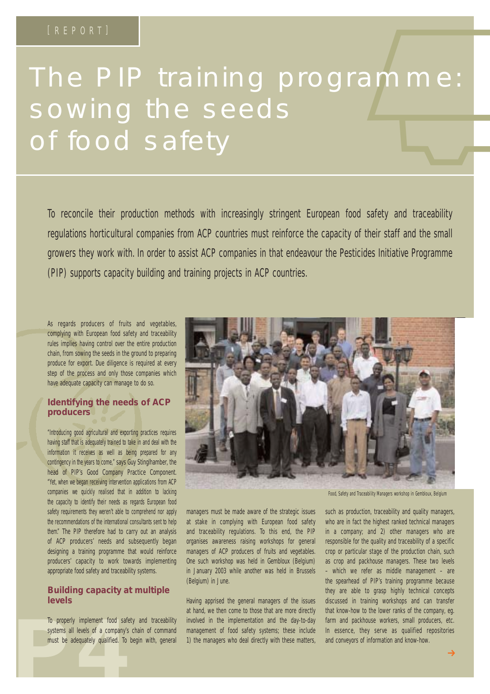# The PIP training programme: sowing the seeds EREPORTI<br>he PIP training programme: of food safety

To reconcile their production methods with increasingly stringent European food safety and traceability regulations horticultural companies from ACP countries must reinforce the capacity of their staff and the small growers they work with. In order to assist ACP companies in that endeavour the Pesticides Initiative Programme (PIP) supports capacity building and training projects in ACP countries.

As regards producers of fruits and vegetables, complying with European food safety and traceability rules implies having control over the entire production chain, from sowing the seeds in the ground to preparing produce for export. Due diligence is required at every step of the process and only those companies which have adequate capacity can manage to do so.

#### **Identifying the needs of ACP producers**

*"Introducing good agricultural and exporting practices requires having staff that is adequately trained to take in and deal with the information it receives as well as being prepared for any contingency in the years to come,"* says Guy Stinglhamber, the head of PIP's Good Company Practice Component. *"Yet, when we began receiving intervention applications from ACP companies we quickly realised that in addition to lacking the capacity to identify their needs as regards European food safety requirements they weren't able to comprehend nor apply the recommendations of the international consultants sent to help them."* The PIP therefore had to carry out an analysis of ACP producers' needs and subsequently began designing a training programme that would reinforce producers' capacity to work towards implementing appropriate food safety and traceability systems.

#### **Building capacity at multiple levels**

To properly implement food safety are<br>systems all levels of a company's chain<br>must be adequately qualified. To begin To properly implement food safety and traceability systems all levels of a company's chain of command must be adequately qualified. To begin with, general



managers must be made aware of the strategic issues at stake in complying with European food safety and traceability regulations. To this end, the PIP organises awareness raising workshops for general managers of ACP producers of fruits and vegetables. One such workshop was held in Gembloux (Belgium) in January 2003 while another was held in Brussels (Belgium) in June.

Having apprised the general managers of the issues at hand, we then come to those that are more directly involved in the implementation and the day-to-day management of food safety systems; these include 1) the managers who deal directly with these matters,

*Food, Safety and Traceability Managers workshop in Gembloux, Belgium*

such as production, traceability and quality managers, who are in fact the highest ranked technical managers in a company; and 2) other managers who are responsible for the quality and traceability of a specific crop or particular stage of the production chain, such as crop and packhouse managers. These two levels – which we refer as middle management – are the spearhead of PIP's training programme because they are able to grasp highly technical concepts discussed in training workshops and can transfer that know-how to the lower ranks of the company, eg. farm and packhouse workers, small producers, etc. In essence, they serve as qualified repositories and conveyors of information and know-how.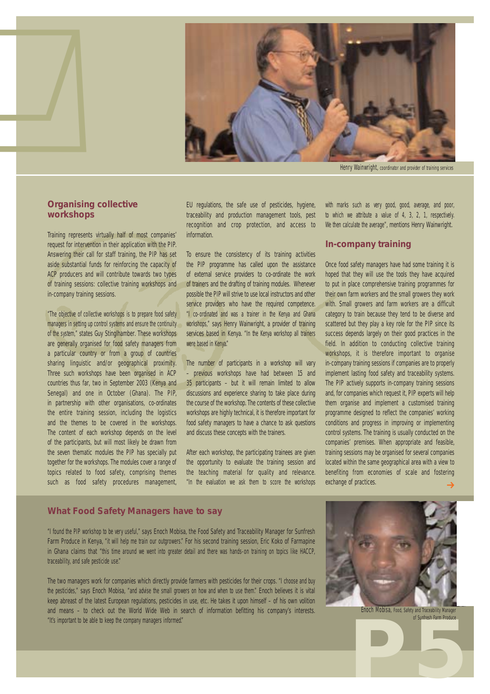

*Henry Wainwright, coordinator and provider of training services*

#### **Organising collective workshops**

b

Training represents virtually half of most companies' request for intervention in their application with the PIP. Answering their call for staff training, the PIP has set aside substantial funds for reinforcing the capacity of ACP producers and will contribute towards two types of training sessions: collective training workshops and in-company training sessions.

*"The objective of collective workshops is to prepare food safety managers in setting up control systems and ensure the continuity of the system,"* states Guy Stinglhamber. These workshops are generally organised for food safety managers from a particular country or from a group of countries sharing linguistic and/or geographical proximity. Three such workshops have been organised in ACP countries thus far, two in September 2003 (Kenya and Senegal) and one in October (Ghana). The PIP, in partnership with other organisations, co-ordinates the entire training session, including the logistics and the themes to be covered in the workshops. The content of each workshop depends on the level of the participants, but will most likely be drawn from the seven thematic modules the PIP has specially put together for the workshops. The modules cover a range of topics related to food safety, comprising themes such as food safety procedures management,

EU regulations, the safe use of pesticides, hygiene, traceability and production management tools, pest recognition and crop protection, and access to information.

To ensure the consistency of its training activities the PIP programme has called upon the assistance of external service providers to co-ordinate the work of trainers and the drafting of training modules. Whenever possible the PIP will strive to use local instructors and other service providers who have the required competence. *"I co-ordinated and was a trainer in the Kenya and Ghana workshops,"* says Henry Wainwright, a provider of training services based in Kenya. *"In the Kenya workshop all trainers were based in Kenya."* 

The number of participants in a workshop will vary – previous workshops have had between 15 and 35 participants – but it will remain limited to allow discussions and experience sharing to take place during the course of the workshop. The contents of these collective workshops are highly technical, it is therefore important for food safety managers to have a chance to ask questions and discuss these concepts with the trainers.

After each workshop, the participating trainees are given the opportunity to evaluate the training session and the teaching material for quality and relevance. *"In the evaluation we ask them to score the workshops* *with marks such as very good, good, average, and poor, to which we attribute a value of 4, 3, 2, 1, respectively. We then calculate the average"*, mentions Henry Wainwright.

#### **In-company training**

Once food safety managers have had some training it is hoped that they will use the tools they have acquired to put in place comprehensive training programmes for their own farm workers and the small growers they work with. Small growers and farm workers are a difficult category to train because they tend to be diverse and scattered but they play a key role for the PIP since its success depends largely on their good practices in the field. In addition to conducting collective training workshops, it is therefore important to organise in-company training sessions if companies are to properly implement lasting food safety and traceability systems. The PIP actively supports in-company training sessions and, for companies which request it, PIP experts will help them organise and implement a customised training programme designed to reflect the companies' working conditions and progress in improving or implementing control systems. The training is usually conducted on the companies' premises. When appropriate and feasible, training sessions may be organised for several companies located within the same geographical area with a view to benefiting from economies of scale and fostering exchange of practices.  $\rightarrow$ 

#### **What Food Safety Managers have to say**

*"I found the PIP workshop to be very useful,"* says Enoch Mobisa, the Food Safety and Traceability Manager for Sunfresh Farm Produce in Kenya, *"it will help me train our outgrowers."* For his second training session, Eric Koko of Farmapine in Ghana claims that *"this time around we went into greater detail and there was hands-on training on topics like HACCP, traceability, and safe pesticide use."*

The two managers work for companies which directly provide farmers with pesticides for their crops. *"I choose and buy the pesticides,"* says Enoch Mobisa, *"and advise the small growers on how and when to use them."* Enoch believes it is vital keep abreast of the latest European regulations, pesticides in use, etc. He takes it upon himself – of his own volition and means – to check out the World Wide Web in search of information befitting his company's interests. *"It's important to be able to keep the company managers informed."*



*Enoch Mobisa, Food, Safety and Traceability Manager of Sunfresh Farm Produce*

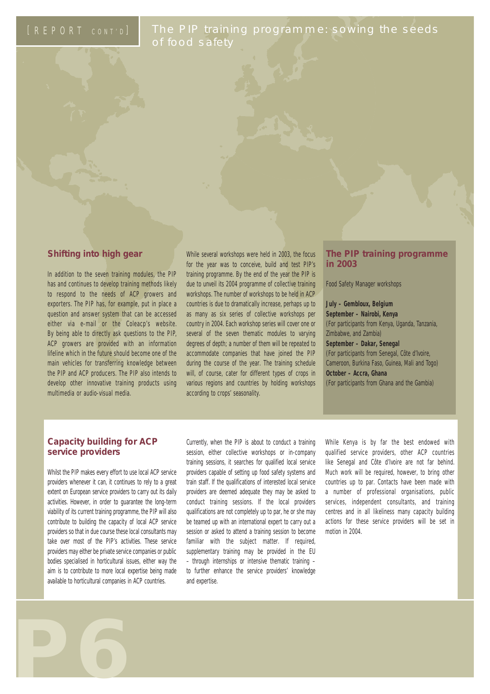The PIP training programme: sowing the seeds of food safety

#### **Shifting into high gear**

In addition to the seven training modules, the PIP has and continues to develop training methods likely to respond to the needs of ACP growers and exporters. The PIP has, for example, put in place a question and answer system that can be accessed either via e-mail or the Coleacp's website. By being able to directly ask questions to the PIP, ACP growers are provided with an information lifeline which in the future should become one of the main vehicles for transferring knowledge between the PIP and ACP producers. The PIP also intends to develop other innovative training products using multimedia or audio-visual media.

While several workshops were held in 2003, the focus for the year was to conceive, build and test PIP's training programme. By the end of the year the PIP is due to unveil its 2004 programme of collective training workshops. The number of workshops to be held in ACP countries is due to dramatically increase, perhaps up to as many as six series of collective workshops per country in 2004. Each workshop series will cover one or several of the seven thematic modules to varying degrees of depth; a number of them will be repeated to accommodate companies that have joined the PIP during the course of the year. The training schedule will, of course, cater for different types of crops in various regions and countries by holding workshops according to crops' seasonality.

#### **The PIP training programme in 2003**

#### Food Safety Manager workshops

**July – Gembloux, Belgium September – Nairobi, Kenya**  (For participants from Kenya, Uganda, Tanzania, Zimbabwe, and Zambia) **September – Dakar, Senegal**  (For participants from Senegal, Côte d'Ivoire, Cameroon, Burkina Faso, Guinea, Mali and Togo) **October – Accra, Ghana**  (For participants from Ghana and the Gambia)

#### **Capacity building for ACP service providers**

Whilst the PIP makes every effort to use local ACP service providers whenever it can, it continues to rely to a great extent on European service providers to carry out its daily activities. However, in order to guarantee the long-term viability of its current training programme, the PIP will also contribute to building the capacity of local ACP service providers so that in due course these local consultants may take over most of the PIP's activities. These service providers may either be private service companies or public bodies specialised in horticultural issues, either way the aim is to contribute to more local expertise being made available to horticultural companies in ACP countries.

**P6**

Currently, when the PIP is about to conduct a training session, either collective workshops or in-company training sessions, it searches for qualified local service providers capable of setting up food safety systems and train staff. If the qualifications of interested local service providers are deemed adequate they may be asked to conduct training sessions. If the local providers qualifications are not completely up to par, he or she may be teamed up with an international expert to carry out a session or asked to attend a training session to become familiar with the subiect matter. If required, supplementary training may be provided in the EU – through internships or intensive thematic training – to further enhance the service providers' knowledge and expertise.

While Kenya is by far the best endowed with qualified service providers, other ACP countries like Senegal and Côte d'Ivoire are not far behind. Much work will be required, however, to bring other countries up to par. Contacts have been made with a number of professional organisations, public services, independent consultants, and training centres and in all likeliness many capacity building actions for these service providers will be set in motion in 2004.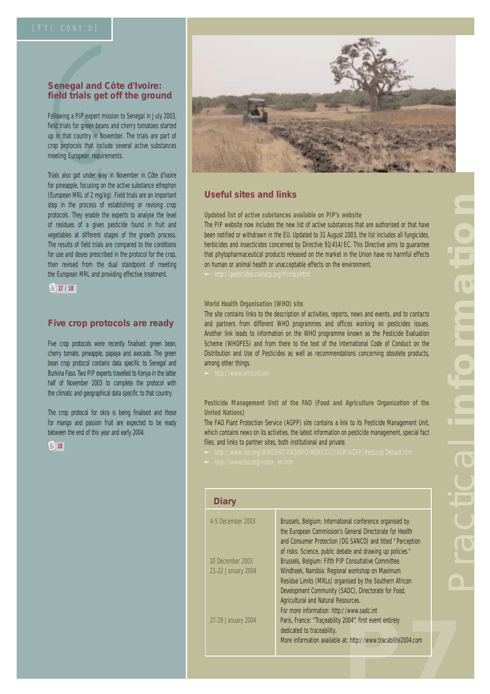#### **Senegal and Côte d'Ivoire: field trials get off the ground**

Following a PIP expert mission to Senegal in July 2003, field trials for green beans and cherry tomatoes started up in that country in November. The trials are part of crop protocols that include several active substances meeting European requirements.

Trials also got under way in November in Côte d'Ivoire for pineapple, focusing on the active substance ethephon (European MRL of 2 mg/kg). Field trials are an important step in the process of establishing or revising crop protocols. They enable the experts to analyse the level of residues of a given pesticide found in fruit and vegetables at different stages of the growth process. The results of field trials are compared to the conditions for use and doses prescribed in the protocol for the crop, then revised from the dual standpoint of meeting the European MRL and providing effective treatment.

**图 17 / 18** 

#### **Five crop protocols are ready**

Five crop protocols were recently finalised: green bean, cherry tomato, pineapple, papaya and avocado. The green bean crop protocol contains data specific to Senegal and Burkina Faso. Two PIP experts travelled to Kenya in the latter half of November 2003 to complete the protocol with the climatic and geographical data specific to that country.

The crop protocol for okra is being finalised and those for mango and passion fruit are expected to be ready between the end of this year and early 2004.





#### **Useful sites and links**

**Updated list of active substances available on PIP's website**

The PIP website now includes the new list of active substances that are authorised or that have been notified or withdrawn in the EU. Updated to 31 August 2003, the list includes all fungicides, herbicides and insecticides concerned by Directive 91/414/EC. This Directive aims to guarantee that phytopharmaceutical products released on the market in the Union have no harmful effects on human or animal health or unacceptable effects on the environment.

#### **World Health Organisation (WHO) site**

The site contains links to the description of activities, reports, news and events, and to contacts and partners from different WHO programmes and offices working on pesticides issues. Another link leads to information on the WHO programme known as the Pesticide Evaluation Scheme (WHOPES) and from there to the text of the International Code of Conduct on the Distribution and Use of Pesticides as well as recommendations concerning obsolete products, among other things.

**Pesticide Management Unit of the FAO (Food and Agriculture Organization of the United Nations)**

The FAO Plant Protection Service (AGPP) site contains a link to its Pesticide Management Unit, which contains news on its activities, the latest information on pesticide management, special fact files, and links to partner sites, both institutional and private.

| Diary                                    |                                                                                                                                                                                                                                                                                                                   |  |
|------------------------------------------|-------------------------------------------------------------------------------------------------------------------------------------------------------------------------------------------------------------------------------------------------------------------------------------------------------------------|--|
| 4-5 December 2003                        | Brussels, Belgium: International conference organised by<br>the European Commission's General Directorate for Health<br>and Consumer Protection (DG SANCO) and titled "Perception<br>of risks: Science, public debate and drawing up policies."                                                                   |  |
| 10 December 2003                         | Brussels, Belgium: Fifth PIP Consultative Committee.                                                                                                                                                                                                                                                              |  |
| 21-22 January 2004<br>27-29 January 2004 | Windhoek, Namibia: Regional workshop on Maximum<br>Residue Limits (MRLs) organised by the Southern African<br>Development Community (SADC), Directorate for Food,<br>Agricultural and Natural Resources.<br>For more information: http://www.sadc.int<br>Paris, France: "Traceability 2004", first event entirely |  |
|                                          | dedicated to traceability.<br>More information available at: http://www.tracabilite2004.com                                                                                                                                                                                                                       |  |
|                                          |                                                                                                                                                                                                                                                                                                                   |  |
|                                          |                                                                                                                                                                                                                                                                                                                   |  |